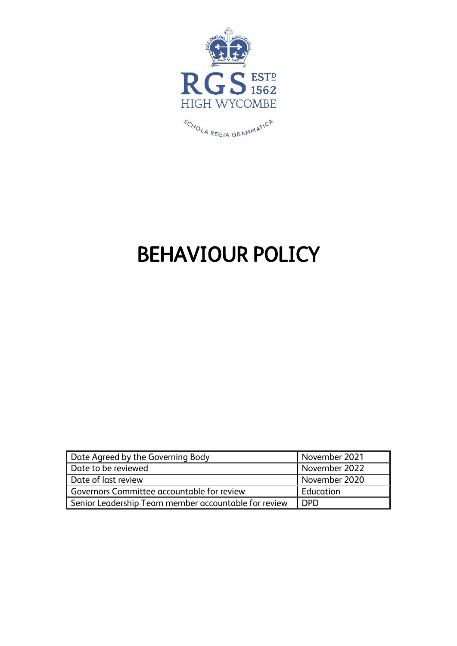

# BEHAVIOUR POLICY

| Date Agreed by the Governing Body                    | November 2021 |  |
|------------------------------------------------------|---------------|--|
| Date to be reviewed                                  | November 2022 |  |
| Date of last review                                  | November 2020 |  |
| Governors Committee accountable for review           | Education     |  |
| Senior Leadership Team member accountable for review | <b>DPD</b>    |  |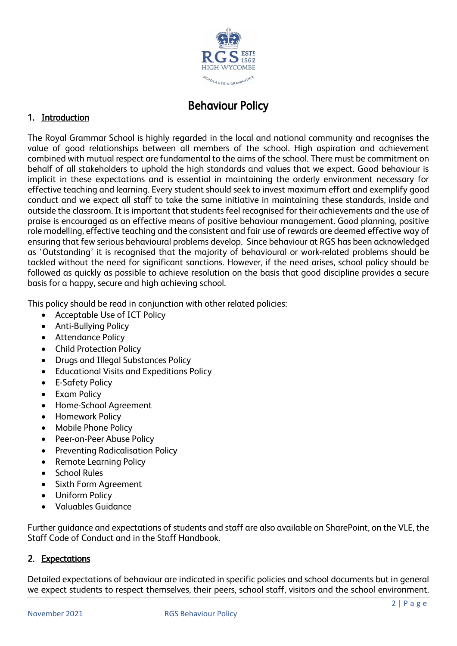

# Behaviour Policy

# 1. Introduction

The Royal Grammar School is highly regarded in the local and national community and recognises the value of good relationships between all members of the school. High aspiration and achievement combined with mutual respect are fundamental to the aims of the school. There must be commitment on behalf of all stakeholders to uphold the high standards and values that we expect. Good behaviour is implicit in these expectations and is essential in maintaining the orderly environment necessary for effective teaching and learning. Every student should seek to invest maximum effort and exemplify good conduct and we expect all staff to take the same initiative in maintaining these standards, inside and outside the classroom. It is important that students feel recognised for their achievements and the use of praise is encouraged as an effective means of positive behaviour management. Good planning, positive role modelling, effective teaching and the consistent and fair use of rewards are deemed effective way of ensuring that few serious behavioural problems develop. Since behaviour at RGS has been acknowledged as 'Outstanding' it is recognised that the majority of behavioural or work-related problems should be tackled without the need for significant sanctions. However, if the need arises, school policy should be followed as quickly as possible to achieve resolution on the basis that good discipline provides a secure basis for a happy, secure and high achieving school.

This policy should be read in conjunction with other related policies:

- Acceptable Use of ICT Policy
- Anti-Bullying Policy
- Attendance Policy
- Child Protection Policy
- Drugs and Illegal Substances Policy
- Educational Visits and Expeditions Policy
- E-Safety Policy
- Exam Policy
- Home-School Agreement
- Homework Policy
- Mobile Phone Policy
- Peer-on-Peer Abuse Policy
- Preventing Radicalisation Policy
- Remote Learning Policy
- School Rules
- Sixth Form Agreement
- Uniform Policy
- Valuables Guidance

Further guidance and expectations of students and staff are also available on SharePoint, on the VLE, the Staff Code of Conduct and in the Staff Handbook.

# 2. Expectations

Detailed expectations of behaviour are indicated in specific policies and school documents but in general we expect students to respect themselves, their peers, school staff, visitors and the school environment.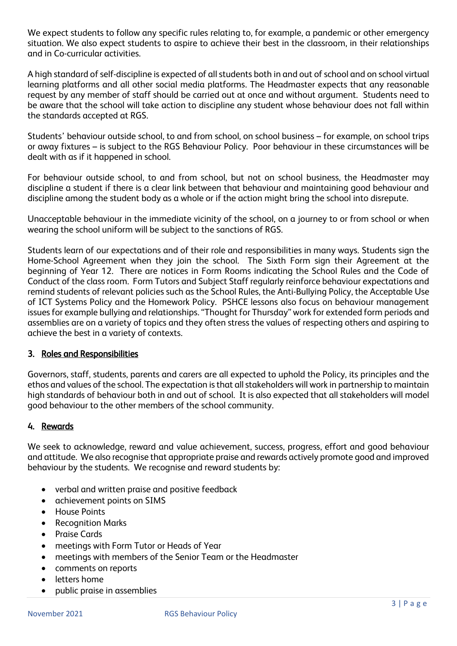We expect students to follow any specific rules relating to, for example, a pandemic or other emergency situation. We also expect students to aspire to achieve their best in the classroom, in their relationships and in Co-curricular activities.

A high standard of self-discipline is expected of all students both in and out of school and on school virtual learning platforms and all other social media platforms. The Headmaster expects that any reasonable request by any member of staff should be carried out at once and without argument. Students need to be aware that the school will take action to discipline any student whose behaviour does not fall within the standards accepted at RGS.

Students' behaviour outside school, to and from school, on school business – for example, on school trips or away fixtures – is subject to the RGS Behaviour Policy. Poor behaviour in these circumstances will be dealt with as if it happened in school.

For behaviour outside school, to and from school, but not on school business, the Headmaster may discipline a student if there is a clear link between that behaviour and maintaining good behaviour and discipline among the student body as a whole or if the action might bring the school into disrepute.

Unacceptable behaviour in the immediate vicinity of the school, on a journey to or from school or when wearing the school uniform will be subject to the sanctions of RGS.

Students learn of our expectations and of their role and responsibilities in many ways. Students sign the Home-School Agreement when they join the school. The Sixth Form sign their Agreement at the beginning of Year 12. There are notices in Form Rooms indicating the School Rules and the Code of Conduct of the class room. Form Tutors and Subject Staff regularly reinforce behaviour expectations and remind students of relevant policies such as the School Rules, the Anti-Bullying Policy, the Acceptable Use of ICT Systems Policy and the Homework Policy. PSHCE lessons also focus on behaviour management issues for example bullying and relationships. "Thought for Thursday" work for extended form periods and assemblies are on a variety of topics and they often stress the values of respecting others and aspiring to achieve the best in a variety of contexts.

#### 3. Roles and Responsibilities

Governors, staff, students, parents and carers are all expected to uphold the Policy, its principles and the ethos and values of the school. The expectation is that all stakeholders will work in partnership to maintain high standards of behaviour both in and out of school. It is also expected that all stakeholders will model good behaviour to the other members of the school community.

# 4. Rewards

We seek to acknowledge, reward and value achievement, success, progress, effort and good behaviour and attitude. We also recognise that appropriate praise and rewards actively promote good and improved behaviour by the students. We recognise and reward students by:

- verbal and written praise and positive feedback
- achievement points on SIMS
- House Points
- Recognition Marks
- Praise Cards
- meetings with Form Tutor or Heads of Year
- meetings with members of the Senior Team or the Headmaster
- comments on reports
- letters home
- public praise in assemblies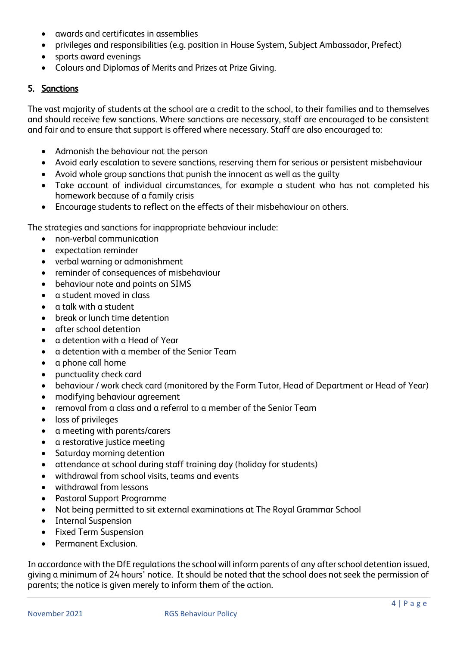- awards and certificates in assemblies
- privileges and responsibilities (e.g. position in House System, Subject Ambassador, Prefect)
- sports award evenings
- Colours and Diplomas of Merits and Prizes at Prize Giving.

#### 5. Sanctions

The vast majority of students at the school are a credit to the school, to their families and to themselves and should receive few sanctions. Where sanctions are necessary, staff are encouraged to be consistent and fair and to ensure that support is offered where necessary. Staff are also encouraged to:

- Admonish the behaviour not the person
- Avoid early escalation to severe sanctions, reserving them for serious or persistent misbehaviour
- Avoid whole group sanctions that punish the innocent as well as the guilty
- Take account of individual circumstances, for example a student who has not completed his homework because of a family crisis
- Encourage students to reflect on the effects of their misbehaviour on others.

The strategies and sanctions for inappropriate behaviour include:

- non-verbal communication
- expectation reminder
- verbal warning or admonishment
- reminder of consequences of misbehaviour
- behaviour note and points on SIMS
- a student moved in class
- a talk with a student
- break or lunch time detention
- after school detention
- a detention with a Head of Year
- a detention with a member of the Senior Team
- a phone call home
- punctuality check card
- behaviour / work check card (monitored by the Form Tutor, Head of Department or Head of Year)
- modifying behaviour agreement
- removal from a class and a referral to a member of the Senior Team
- loss of privileges
- a meeting with parents/carers
- a restorative justice meeting
- Saturday morning detention
- attendance at school during staff training day (holiday for students)
- withdrawal from school visits, teams and events
- withdrawal from lessons
- Pastoral Support Programme
- Not being permitted to sit external examinations at The Royal Grammar School
- Internal Suspension
- Fixed Term Suspension
- Permanent Exclusion.

In accordance with the DfE regulations the school will inform parents of any after school detention issued, giving a minimum of 24 hours' notice. It should be noted that the school does not seek the permission of parents; the notice is given merely to inform them of the action.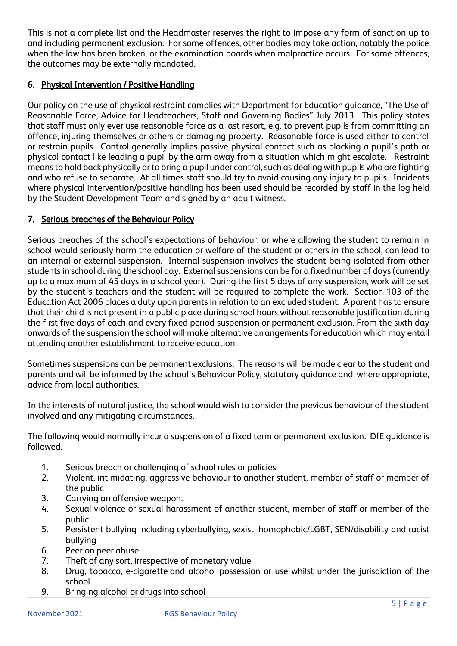This is not a complete list and the Headmaster reserves the right to impose any form of sanction up to and including permanent exclusion. For some offences, other bodies may take action, notably the police when the law has been broken, or the examination boards when malpractice occurs. For some offences, the outcomes may be externally mandated.

# 6. Physical Intervention / Positive Handling

Our policy on the use of physical restraint complies with Department for Education guidance, "The Use of Reasonable Force, Advice for Headteachers, Staff and Governing Bodies" July 2013. This policy states that staff must only ever use reasonable force as a last resort, e.g. to prevent pupils from committing an offence, injuring themselves or others or damaging property. Reasonable force is used either to control or restrain pupils. Control generally implies passive physical contact such as blocking a pupil's path or physical contact like leading a pupil by the arm away from a situation which might escalate. Restraint means to hold back physically or to bring a pupil under control, such as dealing with pupils who are fighting and who refuse to separate. At all times staff should try to avoid causing any injury to pupils. Incidents where physical intervention/positive handling has been used should be recorded by staff in the log held by the Student Development Team and signed by an adult witness.

# 7. Serious breaches of the Behaviour Policy

Serious breaches of the school's expectations of behaviour, or where allowing the student to remain in school would seriously harm the education or welfare of the student or others in the school, can lead to an internal or external suspension. Internal suspension involves the student being isolated from other students in school during the school day. External suspensions can be for a fixed number of days (currently up to a maximum of 45 days in a school year). During the first 5 days of any suspension, work will be set by the student's teachers and the student will be required to complete the work. Section 103 of the Education Act 2006 places a duty upon parents in relation to an excluded student. A parent has to ensure that their child is not present in a public place during school hours without reasonable justification during the first five days of each and every fixed period suspension or permanent exclusion. From the sixth day onwards of the suspension the school will make alternative arrangements for education which may entail attending another establishment to receive education.

Sometimes suspensions can be permanent exclusions. The reasons will be made clear to the student and parents and will be informed by the school's Behaviour Policy, statutory guidance and, where appropriate, advice from local authorities.

In the interests of natural justice, the school would wish to consider the previous behaviour of the student involved and any mitigating circumstances.

The following would normally incur a suspension of a fixed term or permanent exclusion. DfE guidance is followed.

- 1. Serious breach or challenging of school rules or policies
- 2. Violent, intimidating, aggressive behaviour to another student, member of staff or member of the public
- 3. Carrying an offensive weapon.
- 4. Sexual violence or sexual harassment of another student, member of staff or member of the public
- 5. Persistent bullying including cyberbullying, sexist, homophobic/LGBT, SEN/disability and racist bullying
- 6. Peer on peer abuse
- 7. Theft of any sort, irrespective of monetary value
- 8. Drug, tobacco, e-cigarette and alcohol possession or use whilst under the jurisdiction of the school
- 9. Bringing alcohol or drugs into school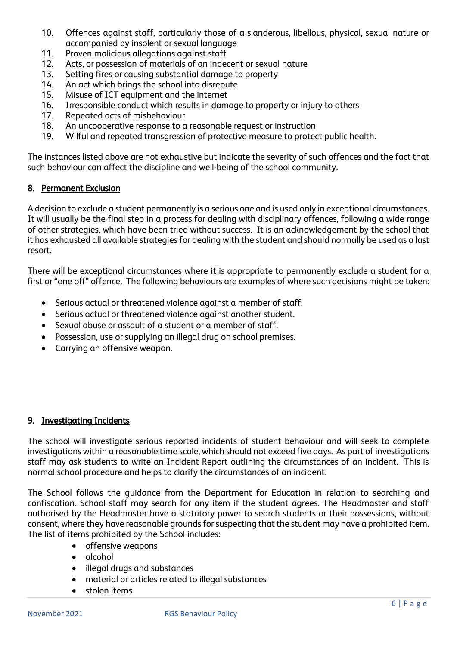- 10. Offences against staff, particularly those of a slanderous, libellous, physical, sexual nature or accompanied by insolent or sexual language
- 11. Proven malicious allegations against staff
- 12. Acts, or possession of materials of an indecent or sexual nature
- 13. Setting fires or causing substantial damage to property
- 14. An act which brings the school into disrepute
- 15. Misuse of ICT equipment and the internet
- 16. Irresponsible conduct which results in damage to property or injury to others
- 17. Repeated acts of misbehaviour
- 18. An uncooperative response to a reasonable request or instruction
- 19. Wilful and repeated transgression of protective measure to protect public health.

The instances listed above are not exhaustive but indicate the severity of such offences and the fact that such behaviour can affect the discipline and well-being of the school community.

#### 8. Permanent Exclusion

A decision to exclude a student permanently is a serious one and is used only in exceptional circumstances. It will usually be the final step in a process for dealing with disciplinary offences, following a wide range of other strategies, which have been tried without success. It is an acknowledgement by the school that it has exhausted all available strategies for dealing with the student and should normally be used as a last resort.

There will be exceptional circumstances where it is appropriate to permanently exclude a student for a first or "one off" offence. The following behaviours are examples of where such decisions might be taken:

- Serious actual or threatened violence against a member of staff.
- Serious actual or threatened violence against another student.
- Sexual abuse or assault of a student or a member of staff.
- Possession, use or supplying an illegal drug on school premises.
- Carrying an offensive weapon.

#### 9. Investigating Incidents

The school will investigate serious reported incidents of student behaviour and will seek to complete investigations within a reasonable time scale, which should not exceed five days. As part of investigations staff may ask students to write an Incident Report outlining the circumstances of an incident. This is normal school procedure and helps to clarify the circumstances of an incident.

The School follows the guidance from the Department for Education in relation to searching and confiscation. School staff may search for any item if the student agrees. The Headmaster and staff authorised by the Headmaster have a statutory power to search students or their possessions, without consent, where they have reasonable grounds for suspecting that the student may have a prohibited item. The list of items prohibited by the School includes:

- offensive weapons
- alcohol
- illegal drugs and substances
- material or articles related to illegal substances
- stolen items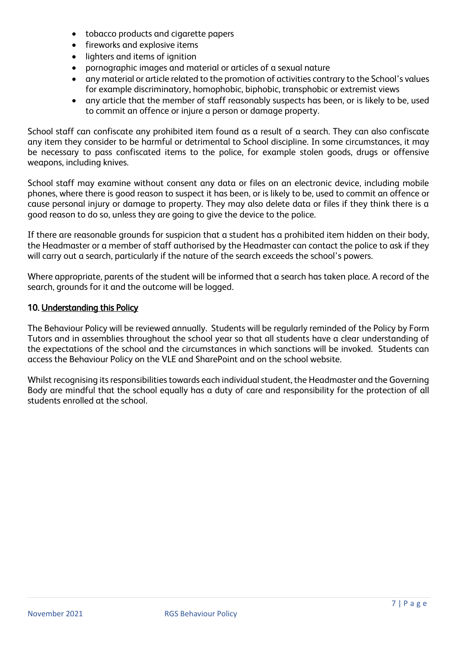- tobacco products and cigarette papers
- fireworks and explosive items
- lighters and items of ignition
- pornographic images and material or articles of a sexual nature
- any material or article related to the promotion of activities contrary to the School's values for example discriminatory, homophobic, biphobic, transphobic or extremist views
- any article that the member of staff reasonably suspects has been, or is likely to be, used to commit an offence or injure a person or damage property.

School staff can confiscate any prohibited item found as a result of a search. They can also confiscate any item they consider to be harmful or detrimental to School discipline. In some circumstances, it may be necessary to pass confiscated items to the police, for example stolen goods, drugs or offensive weapons, including knives.

School staff may examine without consent any data or files on an electronic device, including mobile phones, where there is good reason to suspect it has been, or is likely to be, used to commit an offence or cause personal injury or damage to property. They may also delete data or files if they think there is a good reason to do so, unless they are going to give the device to the police.

If there are reasonable grounds for suspicion that a student has a prohibited item hidden on their body, the Headmaster or a member of staff authorised by the Headmaster can contact the police to ask if they will carry out a search, particularly if the nature of the search exceeds the school's powers.

Where appropriate, parents of the student will be informed that a search has taken place. A record of the search, grounds for it and the outcome will be logged.

#### 10. Understanding this Policy

The Behaviour Policy will be reviewed annually. Students will be regularly reminded of the Policy by Form Tutors and in assemblies throughout the school year so that all students have a clear understanding of the expectations of the school and the circumstances in which sanctions will be invoked. Students can access the Behaviour Policy on the VLE and SharePoint and on the school website.

Whilst recognising its responsibilities towards each individual student, the Headmaster and the Governing Body are mindful that the school equally has a duty of care and responsibility for the protection of all students enrolled at the school.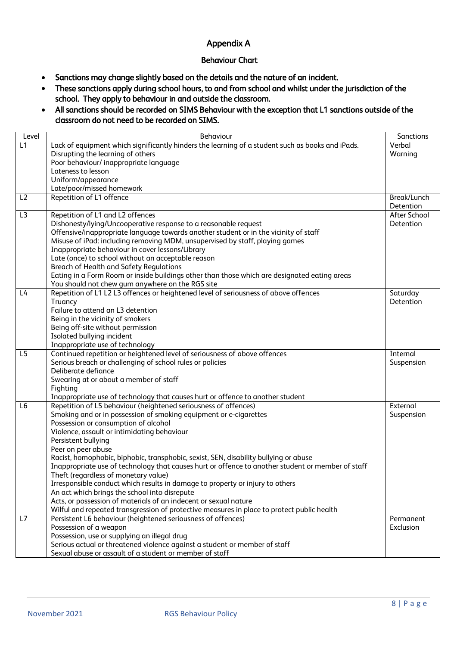#### Appendix A

#### **Behaviour Chart**

- Sanctions may change slightly based on the details and the nature of an incident.
- These sanctions apply during school hours, to and from school and whilst under the jurisdiction of the school. They apply to behaviour in and outside the classroom.
- All sanctions should be recorded on SIMS Behaviour with the exception that L1 sanctions outside of the classroom do not need to be recorded on SIMS.

| Level          | Behaviour                                                                                                                                                  | Sanctions              |
|----------------|------------------------------------------------------------------------------------------------------------------------------------------------------------|------------------------|
| L1             | Lack of equipment which significantly hinders the learning of a student such as books and iPads.                                                           | Verbal                 |
|                | Disrupting the learning of others                                                                                                                          | Warning                |
|                | Poor behaviour/inappropriate language                                                                                                                      |                        |
|                | Lateness to lesson                                                                                                                                         |                        |
|                | Uniform/appearance                                                                                                                                         |                        |
|                | Late/poor/missed homework                                                                                                                                  |                        |
| L2             | Repetition of L1 offence                                                                                                                                   | Break/Lunch            |
|                |                                                                                                                                                            | Detention              |
| L <sub>3</sub> | Repetition of L1 and L2 offences                                                                                                                           | After School           |
|                | Dishonesty/lying/Uncooperative response to a reasonable request                                                                                            | Detention              |
|                | Offensive/inappropriate language towards another student or in the vicinity of staff                                                                       |                        |
|                | Misuse of iPad: including removing MDM, unsupervised by staff, playing games                                                                               |                        |
|                | Inappropriate behaviour in cover lessons/Library                                                                                                           |                        |
|                | Late (once) to school without an acceptable reason                                                                                                         |                        |
|                | <b>Breach of Health and Safety Regulations</b>                                                                                                             |                        |
|                | Eating in a Form Room or inside buildings other than those which are designated eating areas                                                               |                        |
|                | You should not chew gum anywhere on the RGS site                                                                                                           |                        |
| L <sub>4</sub> | Repetition of L1 L2 L3 offences or heightened level of seriousness of above offences                                                                       | Saturday               |
|                | Truancy                                                                                                                                                    | Detention              |
|                | Failure to attend an L3 detention                                                                                                                          |                        |
|                | Being in the vicinity of smokers                                                                                                                           |                        |
|                | Being off-site without permission                                                                                                                          |                        |
|                | Isolated bullying incident                                                                                                                                 |                        |
|                | Inappropriate use of technology                                                                                                                            |                        |
| L <sub>5</sub> | Continued repetition or heightened level of seriousness of above offences                                                                                  | Internal               |
|                | Serious breach or challenging of school rules or policies                                                                                                  | Suspension             |
|                | Deliberate defiance                                                                                                                                        |                        |
|                | Swearing at or about a member of staff                                                                                                                     |                        |
|                | Fighting                                                                                                                                                   |                        |
|                | Inappropriate use of technology that causes hurt or offence to another student                                                                             |                        |
| L <sub>6</sub> | Repetition of L5 behaviour (heightened seriousness of offences)                                                                                            | External               |
|                | Smoking and or in possession of smoking equipment or e-cigarettes                                                                                          | Suspension             |
|                | Possession or consumption of alcohol                                                                                                                       |                        |
|                | Violence, assault or intimidating behaviour                                                                                                                |                        |
|                | Persistent bullying                                                                                                                                        |                        |
|                | Peer on peer abuse                                                                                                                                         |                        |
|                | Racist, homophobic, biphobic, transphobic, sexist, SEN, disability bullying or abuse                                                                       |                        |
|                | Inappropriate use of technology that causes hurt or offence to another student or member of staff                                                          |                        |
|                | Theft (regardless of monetary value)                                                                                                                       |                        |
|                | Irresponsible conduct which results in damage to property or injury to others                                                                              |                        |
|                | An act which brings the school into disrepute                                                                                                              |                        |
|                | Acts, or possession of materials of an indecent or sexual nature                                                                                           |                        |
| L7             | Wilful and repeated transgression of protective measures in place to protect public health<br>Persistent L6 behaviour (heightened seriousness of offences) |                        |
|                |                                                                                                                                                            | Permanent<br>Exclusion |
|                | Possession of a weapon<br>Possession, use or supplying an illegal drug                                                                                     |                        |
|                | Serious actual or threatened violence against a student or member of staff                                                                                 |                        |
|                | Sexual abuse or assault of a student or member of staff                                                                                                    |                        |
|                |                                                                                                                                                            |                        |